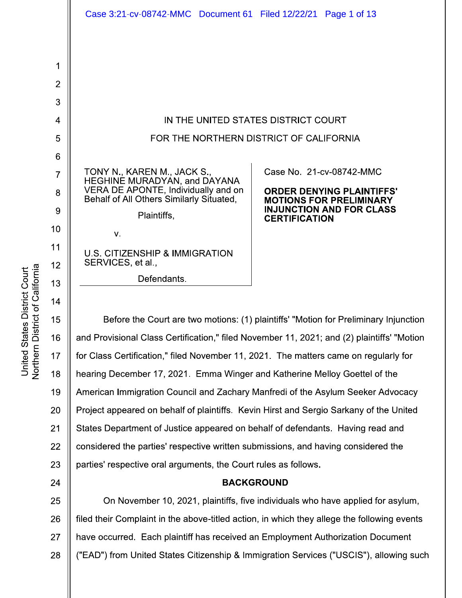|                | Case 3:21-cv-08742-MMC  Document 61  Filed 12/22/21  Page 1 of 13                          |                                                                   |
|----------------|--------------------------------------------------------------------------------------------|-------------------------------------------------------------------|
|                |                                                                                            |                                                                   |
| 1              |                                                                                            |                                                                   |
| $\overline{2}$ |                                                                                            |                                                                   |
| 3              |                                                                                            |                                                                   |
| 4              | IN THE UNITED STATES DISTRICT COURT                                                        |                                                                   |
| 5              | FOR THE NORTHERN DISTRICT OF CALIFORNIA                                                    |                                                                   |
| 6              |                                                                                            |                                                                   |
| $\overline{7}$ | TONY N., KAREN M., JACK S.,<br>HEGHINE MURADYAN, and DAYANA                                | Case No. 21-cv-08742-MMC                                          |
| 8              | VERA DE APONTE, Individually and on<br>Behalf of All Others Similarly Situated,            | <b>ORDER DENYING PLAINTIFFS'</b>                                  |
| 9              | Plaintiffs,                                                                                | <b>MOTIONS FOR PRELIMINARY</b><br><b>INJUNCTION AND FOR CLASS</b> |
| 10             | V.                                                                                         | <b>CERTIFICATION</b>                                              |
| 11             | <b>U.S. CITIZENSHIP &amp; IMMIGRATION</b>                                                  |                                                                   |
| 12             | SERVICES, et al.,                                                                          |                                                                   |
| 13             | Defendants.                                                                                |                                                                   |
| 14             |                                                                                            |                                                                   |
| 15             | Before the Court are two motions: (1) plaintiffs' "Motion for Preliminary Injunction       |                                                                   |
| 16             | and Provisional Class Certification," filed November 11, 2021; and (2) plaintiffs' "Motion |                                                                   |
| 17             | for Class Certification," filed November 11, 2021. The matters came on regularly for       |                                                                   |

18 hearing December 17, 2021. Emma Winger and Katherine Melloy Goettel of the 19 American Immigration Council and Zachary Manfredi of the Asylum Seeker Advocacy 20 Project appeared on behalf of plaintiffs. Kevin Hirst and Sergio Sarkany of the United 21 States Department of Justice appeared on behalf of defendants. Having read and 22 considered the parties' respective written submissions, and having considered the 23 parties' respective oral arguments, the Court rules as follows.

## **BACKGROUND**

25 On November 10, 2021, plaintiffs, five individuals who have applied for asylum, 26 filed their Complaint in the above-titled action, in which they allege the following events 27 have occurred. Each plaintiff has received an Employment Authorization Document 28 ("EAD") from United States Citizenship & Immigration Services ("USCIS"), allowing such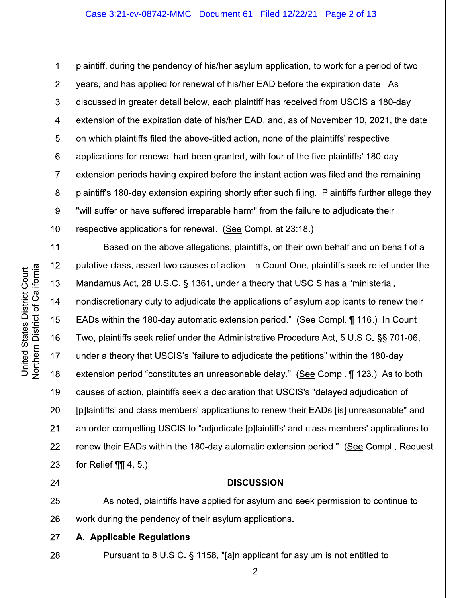1

plaintiff, during the pendency of his/her asylum application, to work for a period of two years, and has applied for renewal of his/her EAD before the expiration date. As discussed in greater detail below, each plaintiff has received from USCIS a 180-day extension of the expiration date of his/her EAD, and, as of November 10, 2021, the date on which plaintiffs filed the above-titled action, none of the plaintiffs' respective applications for renewal had been granted, with four of the five plaintiffs' 180-day extension periods having expired before the instant action was filed and the remaining plaintiff's 180-day extension expiring shortly after such filing. Plaintiffs further allege they "will suffer or have suffered irreparable harm" from the failure to adjudicate their respective applications for renewal. (See Compl. at 23:18.)

Based on the above allegations, plaintiffs, on their own behalf and on behalf of a  $12$ putative class, assert two causes of action. In Count One, plaintiffs seek relief under the 13 Mandamus Act, 28 U.S.C. § 1361, under a theory that USCIS has a "ministerial,  $14$ nondiscretionary duty to adjudicate the applications of asylum applicants to renew their 15 EADs within the 180-day automatic extension period." (See Compl. ¶ 116.) In Count 16 Two, plaintiffs seek relief under the Administrative Procedure Act, 5 U.S.C. §§ 701-06, 17 under a theory that USCIS's "failure to adjudicate the petitions" within the 180-day 18 extension period "constitutes an unreasonable delay." (See Compl. ¶ 123.) As to both 19 causes of action, plaintiffs seek a declaration that USCIS's "delayed adjudication of 20 [p]laintiffs' and class members' applications to renew their EADs [is] unreasonable" and  $21$ an order compelling USCIS to "adjudicate [p]laintiffs' and class members' applications to 22 renew their EADs within the 180-day automatic extension period." (See Compl., Request 23 for Relief  $\P\P$  4, 5.)

# **DISCUSSION**

As noted, plaintiffs have applied for asylum and seek permission to continue to 25 26 work during the pendency of their asylum applications.

#### 27 A. Applicable Regulations

Pursuant to 8 U.S.C. § 1158, "[a]n applicant for asylum is not entitled to

 $\overline{2}$ 

24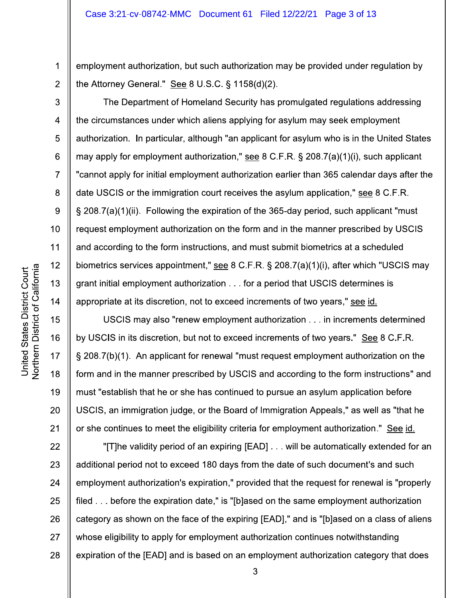employment authorization, but such authorization may be provided under regulation by the Attorney General." See  $8 \text{ U.S.C.}$  § 1158(d)(2).

The Department of Homeland Security has promulgated regulations addressing the circumstances under which aliens applying for asylum may seek employment authorization. In particular, although "an applicant for asylum who is in the United States may apply for employment authorization," see 8 C.F.R. § 208.7(a)(1)(i), such applicant "cannot apply for initial employment authorization earlier than 365 calendar days after the date USCIS or the immigration court receives the asylum application," see 8 C.F.R. § 208.7(a)(1)(ii). Following the expiration of the 365-day period, such applicant "must request employment authorization on the form and in the manner prescribed by USCIS and according to the form instructions, and must submit biometrics at a scheduled biometrics services appointment," see 8 C.F.R. § 208.7(a)(1)(i), after which "USCIS may grant initial employment authorization . . . for a period that USCIS determines is appropriate at its discretion, not to exceed increments of two years," see id.

USCIS may also "renew employment authorization . . . in increments determined by USCIS in its discretion, but not to exceed increments of two years." See 8 C.F.R. § 208.7(b)(1). An applicant for renewal "must request employment authorization on the form and in the manner prescribed by USCIS and according to the form instructions" and must "establish that he or she has continued to pursue an asylum application before USCIS, an immigration judge, or the Board of Immigration Appeals," as well as "that he or she continues to meet the eligibility criteria for employment authorization." See id.

22 "[T]he validity period of an expiring [EAD] . . . will be automatically extended for an 23 additional period not to exceed 180 days from the date of such document's and such 24 employment authorization's expiration," provided that the request for renewal is "properly filed ... before the expiration date," is "[b]ased on the same employment authorization 25 26 category as shown on the face of the expiring [EAD]," and is "[b]ased on a class of aliens 27 whose eligibility to apply for employment authorization continues notwithstanding 28 expiration of the [EAD] and is based on an employment authorization category that does

1

 $\overline{2}$ 

3

 $\overline{4}$ 

5

6

 $\overline{7}$ 

8

9

 $10<sup>°</sup>$ 

 $11$ 

 $12$ 

13

 $14$ 

15

16

17

18

19

20

 $21$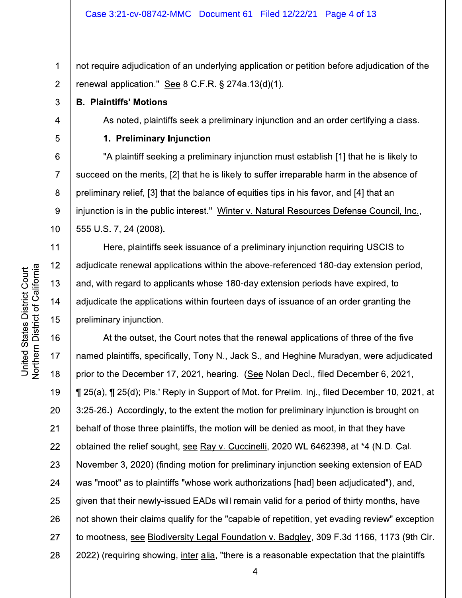not require adjudication of an underlying application or petition before adjudication of the  $\overline{2}$ renewal application." See 8 C.F.R.  $\S$  274a.13(d)(1).

**B. Plaintiffs' Motions** 

1

3

 $\overline{4}$ 

5

6

 $\overline{7}$ 

8

9

 $10<sup>°</sup>$ 

 $11$ 

 $12$ 

13

 $14$ 

15

As noted, plaintiffs seek a preliminary injunction and an order certifying a class.

## 1. Preliminary Injunction

"A plaintiff seeking a preliminary injunction must establish [1] that he is likely to succeed on the merits, [2] that he is likely to suffer irreparable harm in the absence of preliminary relief, [3] that the balance of equities tips in his favor, and [4] that an injunction is in the public interest." Winter v. Natural Resources Defense Council, Inc., 555 U.S. 7, 24 (2008).

Here, plaintiffs seek issuance of a preliminary injunction requiring USCIS to adjudicate renewal applications within the above-referenced 180-day extension period, and, with regard to applicants whose 180-day extension periods have expired, to adjudicate the applications within fourteen days of issuance of an order granting the preliminary injunction.

16 At the outset, the Court notes that the renewal applications of three of the five named plaintiffs, specifically, Tony N., Jack S., and Heghine Muradyan, were adjudicated 17 18 prior to the December 17, 2021, hearing. (See Nolan Decl., filed December 6, 2021, 19 125(a), 125(d); Pls.' Reply in Support of Mot. for Prelim. Inj., filed December 10, 2021, at 20 3:25-26.) Accordingly, to the extent the motion for preliminary injunction is brought on  $21$ behalf of those three plaintiffs, the motion will be denied as moot, in that they have 22 obtained the relief sought, see Ray v. Cuccinelli, 2020 WL 6462398, at \*4 (N.D. Cal. 23 November 3, 2020) (finding motion for preliminary injunction seeking extension of EAD 24 was "moot" as to plaintiffs "whose work authorizations [had] been adjudicated"), and, given that their newly-issued EADs will remain valid for a period of thirty months, have 25 26 not shown their claims qualify for the "capable of repetition, yet evading review" exception 27 to mootness, see Biodiversity Legal Foundation v. Badgley, 309 F.3d 1166, 1173 (9th Cir. 28 2022) (requiring showing, inter alia, "there is a reasonable expectation that the plaintiffs

 $\overline{4}$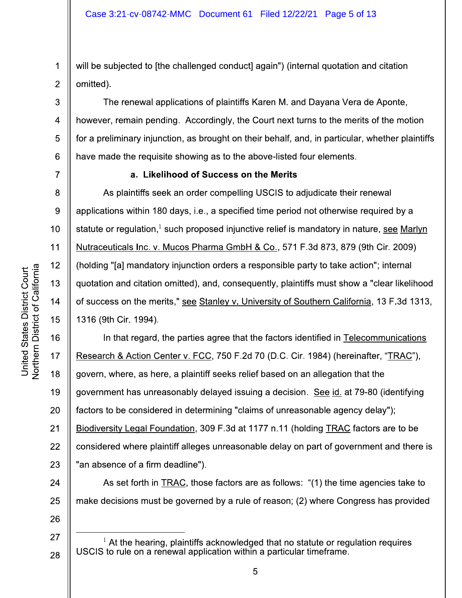will be subjected to [the challenged conduct] again") (internal quotation and citation  $\overline{2}$ omitted).

The renewal applications of plaintiffs Karen M. and Dayana Vera de Aponte, however, remain pending. Accordingly, the Court next turns to the merits of the motion for a preliminary injunction, as brought on their behalf, and, in particular, whether plaintiffs have made the requisite showing as to the above-listed four elements.

1

3

 $\overline{4}$ 

5

6

 $\overline{7}$ 

8

9

10

 $11$ 

 $12$ 

13

14

15

17

26

27

28

## a. Likelihood of Success on the Merits

As plaintiffs seek an order compelling USCIS to adjudicate their renewal applications within 180 days, i.e., a specified time period not otherwise required by a statute or regulation.<sup>1</sup> such proposed injunctive relief is mandatory in nature, see Marlyn Nutraceuticals Inc. v. Mucos Pharma GmbH & Co., 571 F.3d 873, 879 (9th Cir. 2009) (holding "[a] mandatory injunction orders a responsible party to take action"; internal quotation and citation omitted), and, consequently, plaintiffs must show a "clear likelihood of success on the merits," see Stanley v. University of Southern California, 13 F.3d 1313, 1316 (9th Cir. 1994).

16 In that regard, the parties agree that the factors identified in Telecommunications Research & Action Center v. FCC, 750 F.2d 70 (D.C. Cir. 1984) (hereinafter, "TRAC"), 18 govern, where, as here, a plaintiff seeks relief based on an allegation that the 19 government has unreasonably delayed issuing a decision. See id. at 79-80 (identifying 20 factors to be considered in determining "claims of unreasonable agency delay");  $21$ Biodiversity Legal Foundation, 309 F.3d at 1177 n.11 (holding TRAC factors are to be 22 considered where plaintiff alleges unreasonable delay on part of government and there is 23 "an absence of a firm deadline").

24 As set forth in TRAC, those factors are as follows: "(1) the time agencies take to make decisions must be governed by a rule of reason; (2) where Congress has provided 25

 $1$  At the hearing, plaintiffs acknowledged that no statute or regulation requires USCIS to rule on a renewal application within a particular timeframe.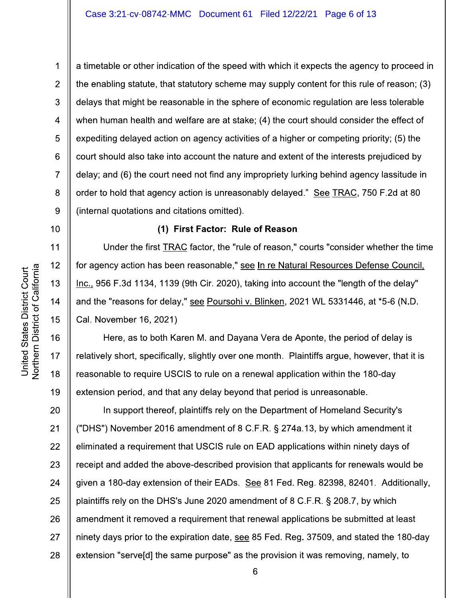a timetable or other indication of the speed with which it expects the agency to proceed in the enabling statute, that statutory scheme may supply content for this rule of reason; (3) delays that might be reasonable in the sphere of economic regulation are less tolerable when human health and welfare are at stake; (4) the court should consider the effect of expediting delayed action on agency activities of a higher or competing priority; (5) the court should also take into account the nature and extent of the interests prejudiced by delay; and (6) the court need not find any impropriety lurking behind agency lassitude in order to hold that agency action is unreasonably delayed." See TRAC, 750 F.2d at 80 (internal quotations and citations omitted).

## (1) First Factor: Rule of Reason

Under the first TRAC factor, the "rule of reason," courts "consider whether the time for agency action has been reasonable," see In re Natural Resources Defense Council. Inc., 956 F.3d 1134, 1139 (9th Cir. 2020), taking into account the "length of the delay" and the "reasons for delay," see Poursohi v. Blinken, 2021 WL 5331446, at \*5-6 (N.D. Cal. November 16, 2021)

Here, as to both Karen M. and Dayana Vera de Aponte, the period of delay is relatively short, specifically, slightly over one month. Plaintiffs argue, however, that it is reasonable to require USCIS to rule on a renewal application within the 180-day extension period, and that any delay beyond that period is unreasonable.

20 In support thereof, plaintiffs rely on the Department of Homeland Security's  $21$ ("DHS") November 2016 amendment of 8 C.F.R. § 274a.13, by which amendment it 22 eliminated a requirement that USCIS rule on EAD applications within ninety days of 23 receipt and added the above-described provision that applicants for renewals would be 24 given a 180-day extension of their EADs. See 81 Fed. Reg. 82398, 82401. Additionally, plaintiffs rely on the DHS's June 2020 amendment of 8 C.F.R. § 208.7, by which 25 26 amendment it removed a requirement that renewal applications be submitted at least 27 ninety days prior to the expiration date, see 85 Fed. Reg. 37509, and stated the 180-day 28 extension "serveld] the same purpose" as the provision it was removing, namely, to

1

 $\overline{2}$ 

3

 $\overline{4}$ 

5

6

 $\overline{7}$ 

8

9

 $10<sup>1</sup>$ 

 $11$ 

12

13

 $14$ 

15

16

17

18

19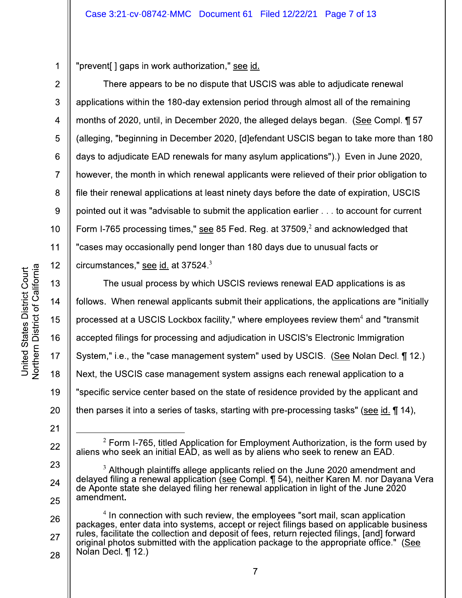"prevent [] gaps in work authorization," see id.

There appears to be no dispute that USCIS was able to adjudicate renewal applications within the 180-day extension period through almost all of the remaining months of 2020, until, in December 2020, the alleged delays began. (See Compl. 1 57 (alleging, "beginning in December 2020, [d]efendant USCIS began to take more than 180 days to adjudicate EAD renewals for many asylum applications").) Even in June 2020, however, the month in which renewal applicants were relieved of their prior obligation to file their renewal applications at least ninety days before the date of expiration, USCIS pointed out it was "advisable to submit the application earlier . . . to account for current Form I-765 processing times," see 85 Fed. Reg. at 37509,<sup>2</sup> and acknowledged that "cases may occasionally pend longer than 180 days due to unusual facts or circumstances," see id. at  $37524.^3$ 

The usual process by which USCIS reviews renewal EAD applications is as follows. When renewal applicants submit their applications, the applications are "initially processed at a USCIS Lockbox facility," where employees review them<sup>4</sup> and "transmit accepted filings for processing and adjudication in USCIS's Electronic Immigration System," i.e., the "case management system" used by USCIS. (See Nolan Decl. 112.) Next, the USCIS case management system assigns each renewal application to a "specific service center based on the state of residence provided by the applicant and then parses it into a series of tasks, starting with pre-processing tasks" (see id.  $\P$  14),

1

 $\overline{2}$ 

3

 $\overline{4}$ 

5

6

 $\overline{7}$ 

8

9

 $10$ 

11

 $12$ 

13

 $14$ 

15

16

 $17$ 

18

19

20

 $21$ 

22

23

24

25

 $\overline{7}$ 

 $2$  Form I-765, titled Application for Employment Authorization, is the form used by aliens who seek an initial EAD, as well as by aliens who seek to renew an EAD.

 $3$  Although plaintiffs allege applicants relied on the June 2020 amendment and delayed filing a renewal application (see Compl. ¶ 54), neither Karen M. nor Dayana Vera de Aponte state she delayed filing her renewal application in light of the June 2020 amendment.

<sup>&</sup>lt;sup>4</sup> In connection with such review, the employees "sort mail, scan application 26 packages, enter data into systems, accept or reject filings based on applicable business rules, facilitate the collection and deposit of fees, return rejected filings, [and] forward 27 original photos submitted with the application package to the appropriate office." (See Nolan Decl.  $\P$  12.) 28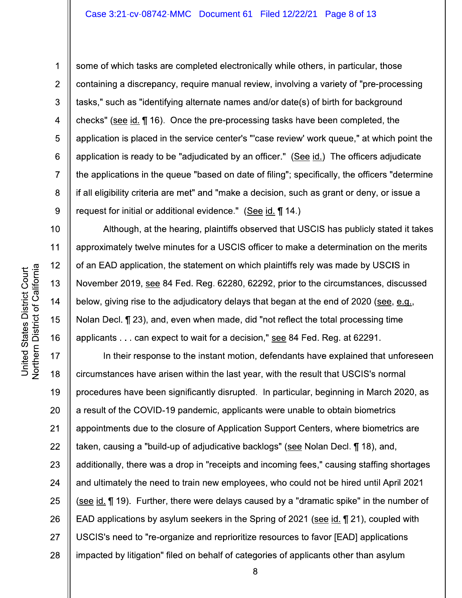some of which tasks are completed electronically while others, in particular, those containing a discrepancy, require manual review, involving a variety of "pre-processing tasks," such as "identifying alternate names and/or date(s) of birth for background checks" (see id. 16). Once the pre-processing tasks have been completed, the application is placed in the service center's "'case review' work queue," at which point the application is ready to be "adjudicated by an officer." (See id.) The officers adjudicate the applications in the queue "based on date of filing"; specifically, the officers "determine" if all eligibility criteria are met" and "make a decision, such as grant or deny, or issue a request for initial or additional evidence." (See id. 14.)

Although, at the hearing, plaintiffs observed that USCIS has publicly stated it takes approximately twelve minutes for a USCIS officer to make a determination on the merits of an EAD application, the statement on which plaintiffs rely was made by USCIS in November 2019, see 84 Fed. Reg. 62280, 62292, prior to the circumstances, discussed below, giving rise to the adjudicatory delays that began at the end of 2020 (see, e.g., Nolan Decl. ¶ 23), and, even when made, did "not reflect the total processing time applicants . . . can expect to wait for a decision," see 84 Fed. Reg. at 62291.

17 In their response to the instant motion, defendants have explained that unforeseen 18 circumstances have arisen within the last year, with the result that USCIS's normal 19 procedures have been significantly disrupted. In particular, beginning in March 2020, as 20 a result of the COVID-19 pandemic, applicants were unable to obtain biometrics  $21$ appointments due to the closure of Application Support Centers, where biometrics are 22 taken, causing a "build-up of adjudicative backlogs" (see Nolan Decl. ¶ 18), and, 23 additionally, there was a drop in "receipts and incoming fees," causing staffing shortages 24 and ultimately the need to train new employees, who could not be hired until April 2021 (see id. ¶ 19). Further, there were delays caused by a "dramatic spike" in the number of 25 26 EAD applications by asylum seekers in the Spring of 2021 (see id. 121), coupled with 27 USCIS's need to "re-organize and reprioritize resources to favor [EAD] applications 28 impacted by litigation" filed on behalf of categories of applicants other than asylum

 $\mathbf 1$ 

 $\overline{2}$ 

3

 $\overline{4}$ 

5

6

 $\overline{7}$ 

8

9

 $10<sup>1</sup>$ 

 $11$ 

 $12$ 

13

 $14$ 

15

16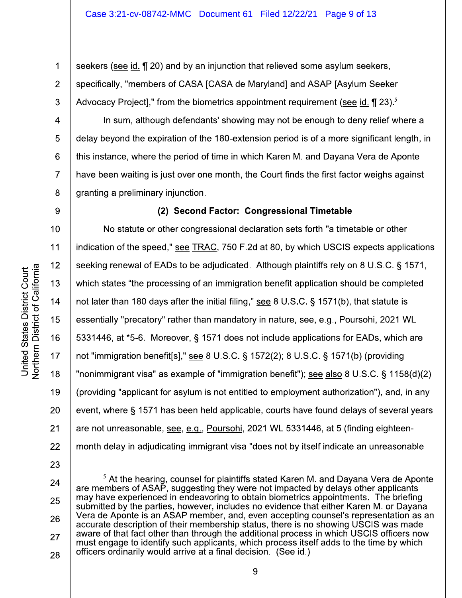seekers (see id. ¶ 20) and by an injunction that relieved some asylum seekers, specifically, "members of CASA [CASA de Maryland] and ASAP [Asylum Seeker Advocacy Project]," from the biometrics appointment requirement (see id.  $\P$  23).<sup>5</sup>

In sum, although defendants' showing may not be enough to deny relief where a delay beyond the expiration of the 180-extension period is of a more significant length, in this instance, where the period of time in which Karen M. and Dayana Vera de Aponte have been waiting is just over one month, the Court finds the first factor weighs against granting a preliminary injunction.

(2) Second Factor: Congressional Timetable

No statute or other congressional declaration sets forth "a timetable or other indication of the speed," see TRAC, 750 F.2d at 80, by which USCIS expects applications seeking renewal of EADs to be adjudicated. Although plaintiffs rely on 8 U.S.C. § 1571, which states "the processing of an immigration benefit application should be completed not later than 180 days after the initial filing," see 8 U.S.C. § 1571(b), that statute is essentially "precatory" rather than mandatory in nature, see, e.g., Poursohi, 2021 WL 5331446, at \*5-6. Moreover, § 1571 does not include applications for EADs, which are not "immigration benefit[s]," see 8 U.S.C. § 1572(2); 8 U.S.C. § 1571(b) (providing "nonimmigrant visa" as example of "immigration benefit"); see also 8 U.S.C. § 1158(d)(2) (providing "applicant for asylum is not entitled to employment authorization"), and, in any event, where § 1571 has been held applicable, courts have found delays of several years are not unreasonable, see, e.g., Poursohi, 2021 WL 5331446, at 5 (finding eighteenmonth delay in adjudicating immigrant visa "does not by itself indicate an unreasonable

1

 $\overline{2}$ 

3

 $\overline{4}$ 

5

6

 $\overline{7}$ 

8

9

10

11

 $12$ 

13

 $14$ 

15

16

17

18

19

20

 $21$ 

<sup>23</sup> 24

 $5$  At the hearing, counsel for plaintiffs stated Karen M. and Dayana Vera de Aponte are members of ASAP, suggesting they were not impacted by delays other applicants may have experienced in endeavoring to obtain biometrics appointments. The briefing 25 submitted by the parties, however, includes no evidence that either Karen M. or Davana Vera de Aponte is an ASAP member, and, even accepting counsel's representation as an 26 accurate description of their membership status, there is no showing USCIS was made aware of that fact other than through the additional process in which USCIS officers now 27 must engage to identify such applicants, which process itself adds to the time by which officers ordinarily would arrive at a final decision. (See id.) 28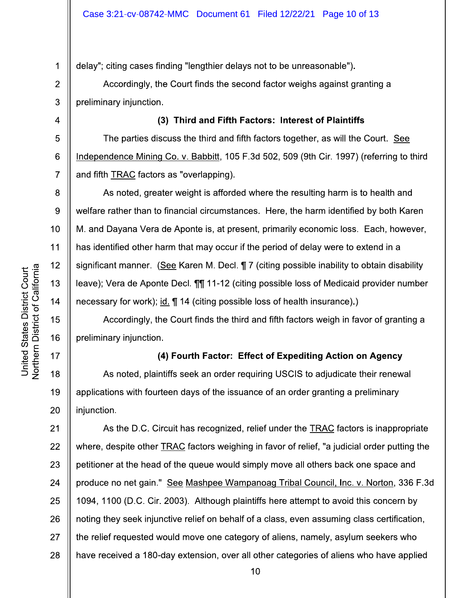delay"; citing cases finding "lengthier delays not to be unreasonable").

Accordingly, the Court finds the second factor weighs against granting a preliminary injunction.

The parties discuss the third and fifth factors together, as will the Court. See Independence Mining Co. v. Babbitt, 105 F.3d 502, 509 (9th Cir. 1997) (referring to third and fifth TRAC factors as "overlapping).

(3) Third and Fifth Factors: Interest of Plaintiffs

As noted, greater weight is afforded where the resulting harm is to health and welfare rather than to financial circumstances. Here, the harm identified by both Karen M. and Davana Vera de Aponte is, at present, primarily economic loss. Each, however, has identified other harm that may occur if the period of delay were to extend in a significant manner. (See Karen M. Decl. 17 (citing possible inability to obtain disability leave); Vera de Aponte Decl. 11 11-12 (citing possible loss of Medicaid provider number necessary for work); id.  $\P$  14 (citing possible loss of health insurance).)

Accordingly, the Court finds the third and fifth factors weigh in favor of granting a preliminary injunction.

# (4) Fourth Factor: Effect of Expediting Action on Agency

As noted, plaintiffs seek an order requiring USCIS to adjudicate their renewal applications with fourteen days of the issuance of an order granting a preliminary injunction.

 $21$ As the D.C. Circuit has recognized, relief under the **TRAC** factors is inappropriate 22 where, despite other TRAC factors weighing in favor of relief, "a judicial order putting the 23 petitioner at the head of the queue would simply move all others back one space and 24 produce no net gain." See Mashpee Wampanoag Tribal Council, Inc. v. Norton, 336 F.3d 25 1094, 1100 (D.C. Cir. 2003). Although plaintiffs here attempt to avoid this concern by 26 noting they seek injunctive relief on behalf of a class, even assuming class certification, 27 the relief requested would move one category of aliens, namely, asylum seekers who 28 have received a 180-day extension, over all other categories of aliens who have applied

1

 $\overline{2}$ 

3

 $\overline{4}$ 

5

6

 $\overline{7}$ 

8

9

 $10<sup>1</sup>$ 

 $11$ 

 $12$ 

13

 $14$ 

15

16

17

18

19

20

 $10<sub>1</sub>$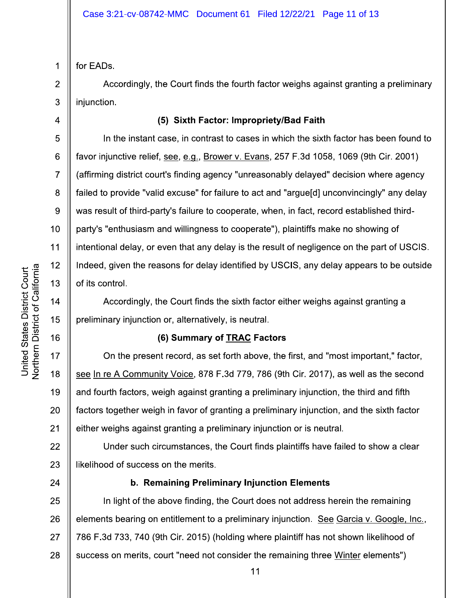1 for EADs.

 $\overline{2}$ 

3

 $\overline{4}$ 

5

6

 $\overline{7}$ 

8

9

 $10<sup>1</sup>$ 

 $11$ 

 $12$ 

13

 $14$ 

15

16

17

18

19

20

 $21$ 

24

Accordingly, the Court finds the fourth factor weighs against granting a preliminary injunction.

# (5) Sixth Factor: Impropriety/Bad Faith

In the instant case, in contrast to cases in which the sixth factor has been found to favor injunctive relief, see, e.g., Brower v. Evans, 257 F.3d 1058, 1069 (9th Cir. 2001) (affirming district court's finding agency "unreasonably delayed" decision where agency failed to provide "valid excuse" for failure to act and "argue[d] unconvincingly" any delay was result of third-party's failure to cooperate, when, in fact, record established thirdparty's "enthusiasm and willingness to cooperate"), plaintiffs make no showing of intentional delay, or even that any delay is the result of negligence on the part of USCIS. Indeed, given the reasons for delay identified by USCIS, any delay appears to be outside of its control.

Accordingly, the Court finds the sixth factor either weighs against granting a preliminary injunction or, alternatively, is neutral.

# (6) Summary of TRAC Factors

On the present record, as set forth above, the first, and "most important," factor, see In re A Community Voice, 878 F.3d 779, 786 (9th Cir. 2017), as well as the second and fourth factors, weigh against granting a preliminary injunction, the third and fifth factors together weigh in favor of granting a preliminary injunction, and the sixth factor either weighs against granting a preliminary injunction or is neutral.

22 Under such circumstances, the Court finds plaintiffs have failed to show a clear 23 likelihood of success on the merits.

# b. Remaining Preliminary Injunction Elements

In light of the above finding, the Court does not address herein the remaining 25 26 elements bearing on entitlement to a preliminary injunction. See Garcia v. Google, Inc., 27 786 F.3d 733, 740 (9th Cir. 2015) (holding where plaintiff has not shown likelihood of 28 success on merits, court "need not consider the remaining three Winter elements")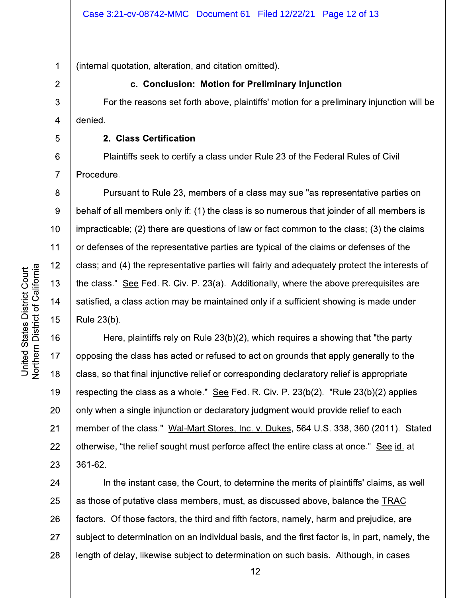1 (internal quotation, alteration, and citation omitted).

# c. Conclusion: Motion for Preliminary Injunction

For the reasons set forth above, plaintiffs' motion for a preliminary injunction will be denied.

#### 2. Class Certification

Plaintiffs seek to certify a class under Rule 23 of the Federal Rules of Civil Procedure.

Pursuant to Rule 23, members of a class may sue "as representative parties on behalf of all members only if: (1) the class is so numerous that joinder of all members is impracticable: (2) there are questions of law or fact common to the class: (3) the claims or defenses of the representative parties are typical of the claims or defenses of the class; and (4) the representative parties will fairly and adequately protect the interests of the class." See Fed. R. Civ. P. 23(a). Additionally, where the above prerequisites are satisfied, a class action may be maintained only if a sufficient showing is made under Rule 23(b).

16 Here, plaintiffs rely on Rule 23(b)(2), which requires a showing that "the party opposing the class has acted or refused to act on grounds that apply generally to the class, so that final injunctive relief or corresponding declaratory relief is appropriate respecting the class as a whole." See Fed. R. Civ. P. 23(b(2). "Rule 23(b)(2) applies only when a single injunction or declaratory judgment would provide relief to each member of the class." Wal-Mart Stores, Inc. v. Dukes, 564 U.S. 338, 360 (2011). Stated otherwise, "the relief sought must perforce affect the entire class at once." See id. at 23 361-62.

24 In the instant case, the Court, to determine the merits of plaintiffs' claims, as well 25 as those of putative class members, must, as discussed above, balance the TRAC 26 factors. Of those factors, the third and fifth factors, namely, harm and prejudice, are 27 subject to determination on an individual basis, and the first factor is, in part, namely, the 28 length of delay, likewise subject to determination on such basis. Although, in cases

 $\overline{2}$ 

3

 $\overline{4}$ 

5

6

 $\overline{7}$ 

8

9

 $10<sup>°</sup>$ 

 $11$ 

 $12$ 

13

 $14$ 

15

17

18

19

20

 $21$ 

22